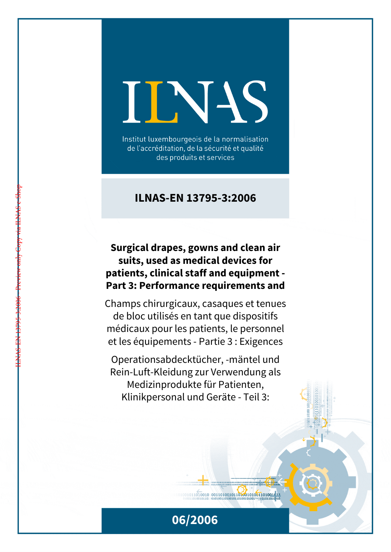# INN

Institut luxembourgeois de la normalisation de l'accréditation, de la sécurité et qualité des produits et services

## **ILNAS-EN 13795-3:2006**

# **Surgical drapes, gowns and clean air suits, used as medical devices for patients, clinical staff and equipment - Part 3: Performance requirements and**

Champs chirurgicaux, casaques et tenues de bloc utilisés en tant que dispositifs médicaux pour les patients, le personnel et les équipements - Partie 3 : Exigences

Operationsabdecktücher, -mäntel und Rein-Luft-Kleidung zur Verwendung als Medizinprodukte für Patienten, Klinikpersonal und Geräte - Teil 3:

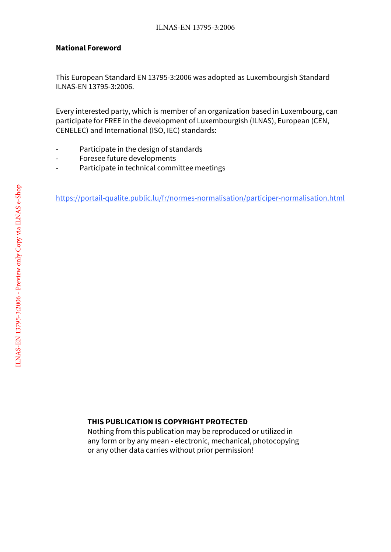#### **National Foreword**

This European Standard EN 13795-3:2006 was adopted as Luxembourgish Standard ILNAS-EN 13795-3:2006.

Every interested party, which is member of an organization based in Luxembourg, can participate for FREE in the development of Luxembourgish (ILNAS), European (CEN, CENELEC) and International (ISO, IEC) standards:

- Participate in the design of standards
- Foresee future developments
- Participate in technical committee meetings

https://portail-qualite.public.lu/fr/normes-normalisation/participer-normalisation.html

#### **THIS PUBLICATION IS COPYRIGHT PROTECTED**

Nothing from this publication may be reproduced or utilized in any form or by any mean - electronic, mechanical, photocopying or any other data carries without prior permission!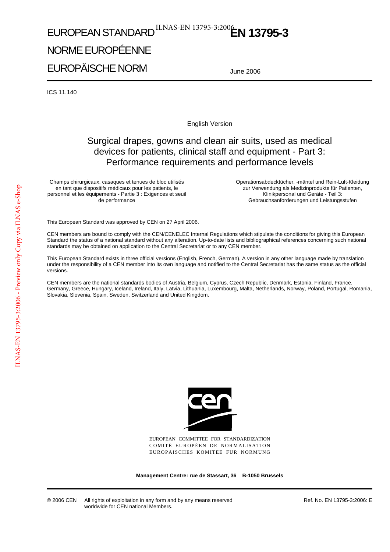# EUROPEAN STANDARD<sup>ILNAS-EN 13795-3:2006</sup>EN 13795-3

# NORME EUROPÉENNE

EUROPÄISCHE NORM

June 2006

ICS 11.140

English Version

### Surgical drapes, gowns and clean air suits, used as medical devices for patients, clinical staff and equipment - Part 3: Performance requirements and performance levels

Champs chirurgicaux, casaques et tenues de bloc utilisés en tant que dispositifs médicaux pour les patients, le personnel et les équipements - Partie 3 : Exigences et seuil de performance

Operationsabdecktücher, -mäntel und Rein-Luft-Kleidung zur Verwendung als Medizinprodukte für Patienten, Klinikpersonal und Geräte - Teil 3: Gebrauchsanforderungen und Leistungsstufen

This European Standard was approved by CEN on 27 April 2006.

CEN members are bound to comply with the CEN/CENELEC Internal Regulations which stipulate the conditions for giving this European Standard the status of a national standard without any alteration. Up-to-date lists and bibliographical references concerning such national standards may be obtained on application to the Central Secretariat or to any CEN member.

This European Standard exists in three official versions (English, French, German). A version in any other language made by translation under the responsibility of a CEN member into its own language and notified to the Central Secretariat has the same status as the official versions.

CEN members are the national standards bodies of Austria, Belgium, Cyprus, Czech Republic, Denmark, Estonia, Finland, France, Germany, Greece, Hungary, Iceland, Ireland, Italy, Latvia, Lithuania, Luxembourg, Malta, Netherlands, Norway, Poland, Portugal, Romania, Slovakia, Slovenia, Spain, Sweden, Switzerland and United Kingdom.



EUROPEAN COMMITTEE FOR STANDARDIZATION COMITÉ EUROPÉEN DE NORMALISATION EUROPÄISCHES KOMITEE FÜR NORMUNG

**Management Centre: rue de Stassart, 36 B-1050 Brussels**

© 2006 CEN All rights of exploitation in any form and by any means reserved worldwide for CEN national Members.

Ref. No. EN 13795-3:2006: E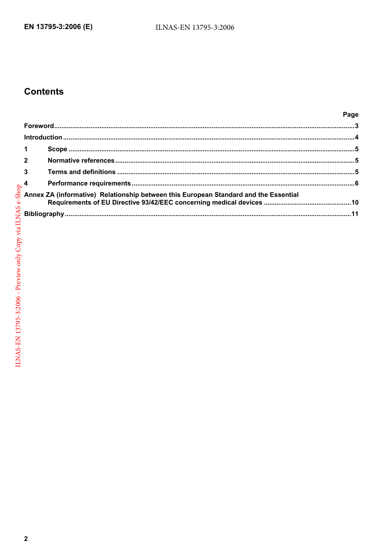# **Contents**

| $\overline{1}$          |                                                                                      |  |
|-------------------------|--------------------------------------------------------------------------------------|--|
| $\overline{2}$          |                                                                                      |  |
| $\overline{\mathbf{3}}$ |                                                                                      |  |
| $\overline{4}$          |                                                                                      |  |
|                         | Annex ZA (informative) Relationship between this European Standard and the Essential |  |
|                         |                                                                                      |  |